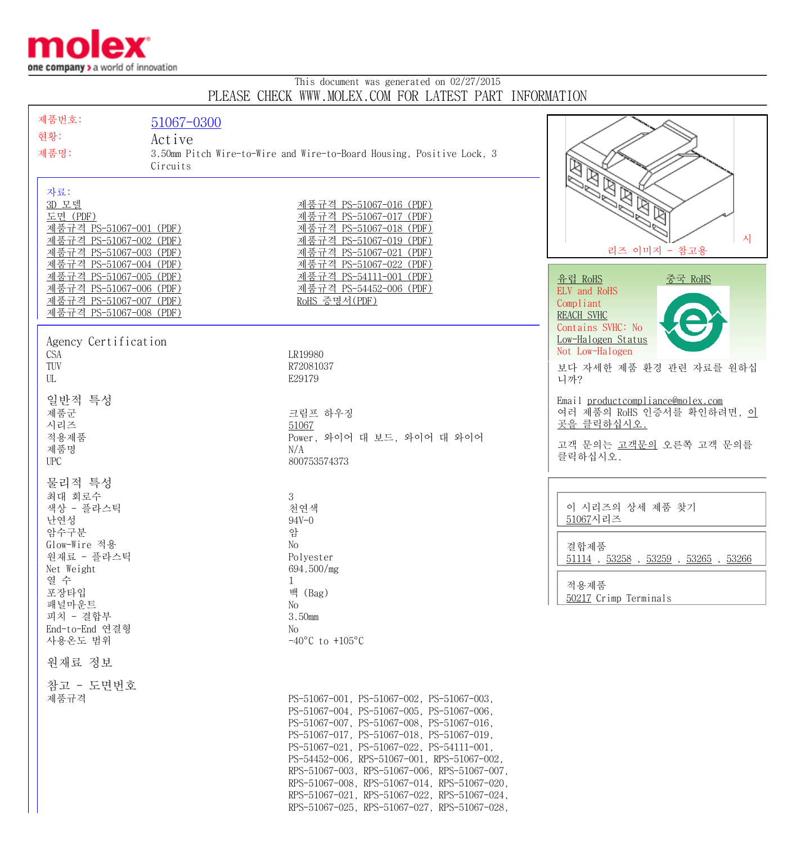

## This document was generated on 02/27/2015 PLEASE CHECK WWW.MOLEX.COM FOR LATEST PART INFORMATION

| 제품번호:                                                     | 51067-0300 |                                                                                              |                                                                        |
|-----------------------------------------------------------|------------|----------------------------------------------------------------------------------------------|------------------------------------------------------------------------|
| 현황:                                                       | Active     |                                                                                              |                                                                        |
| 제품명:                                                      |            | 3.50mm Pitch Wire-to-Wire and Wire-to-Board Housing, Positive Lock, 3                        |                                                                        |
|                                                           | Circuits   |                                                                                              | է<br>$\mathbb{Z}$                                                      |
| 자료:                                                       |            |                                                                                              | $\mathbb{Z}$                                                           |
| 3D 모델                                                     |            | 제품규격 PS-51067-016 (PDF)                                                                      | $\boxtimes$                                                            |
| 도면 (PDF)                                                  |            | 제품규격 PS-51067-017 (PDF)                                                                      |                                                                        |
| 제품규격 PS-51067-001 (PDF)                                   |            | 제품규격 PS-51067-018 (PDF)                                                                      | 시                                                                      |
| 제품규격 PS-51067-002 (PDF)<br>제품규격 PS-51067-003 (PDF)        |            | 제품규격 PS-51067-019 (PDF)<br>제품규격 PS-51067-021 (PDF)                                           | 리즈 이미지 - 참고용                                                           |
| 제품규격 PS-51067-004 (PDF)                                   |            | 제품규격 PS-51067-022 (PDF)                                                                      |                                                                        |
| 제품규격 PS-51067-005 (PDF)                                   |            | 제품규격 PS-54111-001 (PDF)                                                                      | <u>유럽 RoHS</u><br><u>중국 RoHS</u>                                       |
| <u>제품규격 PS-51067-006 (PDF)</u><br>제품규격 PS-51067-007 (PDF) |            | 제품규격 PS-54452-006 (PDF)<br>RoHS 증명서(PDF)                                                     | ELV and RoHS                                                           |
| 제품규격 PS-51067-008 (PDF)                                   |            |                                                                                              | Compliant<br><b>REACH SVHC</b>                                         |
|                                                           |            |                                                                                              | Contains SVHC: No                                                      |
| Agency Certification                                      |            |                                                                                              | Low-Halogen Status                                                     |
| <b>CSA</b>                                                |            | LR19980                                                                                      | Not Low-Halogen                                                        |
| TUV<br>UL                                                 |            | R72081037<br>E29179                                                                          | 보다 자세한 제품 환경 관련 자료를 원하십<br>니까?                                         |
|                                                           |            |                                                                                              |                                                                        |
| 일반적 특성                                                    |            |                                                                                              | Email product compliance@molex.com<br>여러 제품의 RoHS 인증서를 확인하려면, <u>이</u> |
| 제품군<br>시리즈                                                |            | 크림프 하우징<br>51067                                                                             | 곳을 클릭하십시오.                                                             |
| 적용제품                                                      |            | Power, 와이어 대 보드, 와이어 대 와이어                                                                   |                                                                        |
| 제품명                                                       |            | N/A                                                                                          | 고객 문의는 고객문의 오른쪽 고객 문의를<br>클릭하십시오.                                      |
| <b>UPC</b>                                                |            | 800753574373                                                                                 |                                                                        |
| 물리적 특성                                                    |            |                                                                                              |                                                                        |
| 최대 회로수                                                    |            | 3                                                                                            | 이 시리즈의 상세 제품 찾기                                                        |
| 색상 - 플라스틱<br>난연성                                          |            | 천연색<br>$94V - 0$                                                                             | 51067시리즈                                                               |
| 암수구분                                                      |            | 암                                                                                            |                                                                        |
| Glow-Wire 적용                                              |            | No                                                                                           | 결합제품                                                                   |
| 원재료 - 플라스틱<br>Net Weight                                  |            | Polyester<br>694.500/mg                                                                      | $51114$ , $53258$ , $53259$ , $53265$ , $53266$                        |
| 열 수                                                       |            |                                                                                              | 적용제품                                                                   |
| 포장타입                                                      |            | 백 (Bag)                                                                                      | 50217 Crimp Terminals                                                  |
| 패널마운트<br>피치 - 결합부                                         |            | No<br>3.50mm                                                                                 |                                                                        |
| End-to-End 연결형                                            |            | No.                                                                                          |                                                                        |
| 사용온도 범위                                                   |            | $-40^{\circ}$ C to $+105^{\circ}$ C                                                          |                                                                        |
| 원재료 정보                                                    |            |                                                                                              |                                                                        |
| 참고 - 도면번호                                                 |            |                                                                                              |                                                                        |
| 제품규격                                                      |            | PS-51067-001, PS-51067-002, PS-51067-003,                                                    |                                                                        |
|                                                           |            | PS-51067-004, PS-51067-005, PS-51067-006,                                                    |                                                                        |
|                                                           |            | PS-51067-007, PS-51067-008, PS-51067-016,<br>PS-51067-017, PS-51067-018, PS-51067-019,       |                                                                        |
|                                                           |            | PS-51067-021, PS-51067-022, PS-54111-001,                                                    |                                                                        |
|                                                           |            | PS-54452-006, RPS-51067-001, RPS-51067-002,                                                  |                                                                        |
|                                                           |            | RPS-51067-003, RPS-51067-006, RPS-51067-007,<br>RPS-51067-008, RPS-51067-014, RPS-51067-020, |                                                                        |
|                                                           |            | RPS-51067-021, RPS-51067-022, RPS-51067-024,                                                 |                                                                        |
|                                                           |            | RPS-51067-025, RPS-51067-027, RPS-51067-028,                                                 |                                                                        |